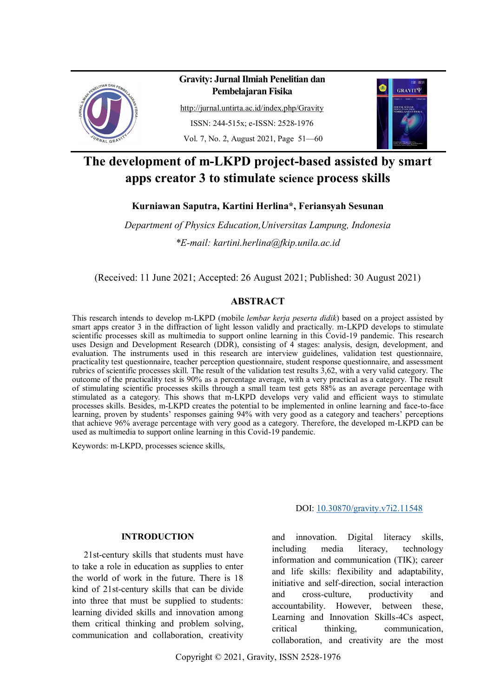

# **Gravity: Jurnal Ilmiah Penelitian dan Pembelajaran Fisika**

<http://jurnal.untirta.ac.id/index.php/Gravity> ISSN: 244-515x; e-ISSN: 2528-1976 Vol. 7, No. 2, August 2021, Page 51—60



# **The development of m-LKPD project-based assisted by smart apps creator 3 to stimulate science process skills**

**Kurniawan Saputra, Kartini Herlina\*, Feriansyah Sesunan** 

*Department of Physics Education,Universitas Lampung, Indonesia \*E-mail: kartini.herlina@fkip.unila.ac.id*

(Received: 11 June 2021; Accepted: 26 August 2021; Published: 30 August 2021)

# **ABSTRACT**

This research intends to develop m-LKPD (mobile *lembar kerja peserta didik*) based on a project assisted by smart apps creator 3 in the diffraction of light lesson validly and practically. m-LKPD develops to stimulate scientific processes skill as multimedia to support online learning in this Covid-19 pandemic. This research uses Design and Development Research (DDR), consisting of 4 stages: analysis, design, development, and evaluation. The instruments used in this research are interview guidelines, validation test questionnaire, practicality test questionnaire, teacher perception questionnaire, student response questionnaire, and assessment rubrics of scientific processes skill. The result of the validation test results 3,62, with a very valid category. The outcome of the practicality test is 90% as a percentage average, with a very practical as a category. The result of stimulating scientific processes skills through a small team test gets 88% as an average percentage with stimulated as a category. This shows that m-LKPD develops very valid and efficient ways to stimulate processes skills. Besides, m-LKPD creates the potential to be implemented in online learning and face-to-face learning, proven by students' responses gaining 94% with very good as a category and teachers' perceptions that achieve 96% average percentage with very good as a category. Therefore, the developed m-LKPD can be used as multimedia to support online learning in this Covid-19 pandemic.

Keywords: m-LKPD, processes science skills,

## **INTRODUCTION**

21st-century skills that students must have to take a role in education as supplies to enter the world of work in the future. There is 18 kind of 21st-century skills that can be divide into three that must be supplied to students: learning divided skills and innovation among them critical thinking and problem solving, communication and collaboration, creativity

# DOI: [10.30870/gravity.v7i2.11548](http://dx.doi.org/10.30870/gravity.v7i2.11548)

and innovation. Digital literacy skills, including media literacy, technology information and communication (TIK); career and life skills: flexibility and adaptability, initiative and self-direction, social interaction and cross-culture, productivity and accountability. However, between these, Learning and Innovation Skills-4Cs aspect, critical thinking, communication, collaboration, and creativity are the most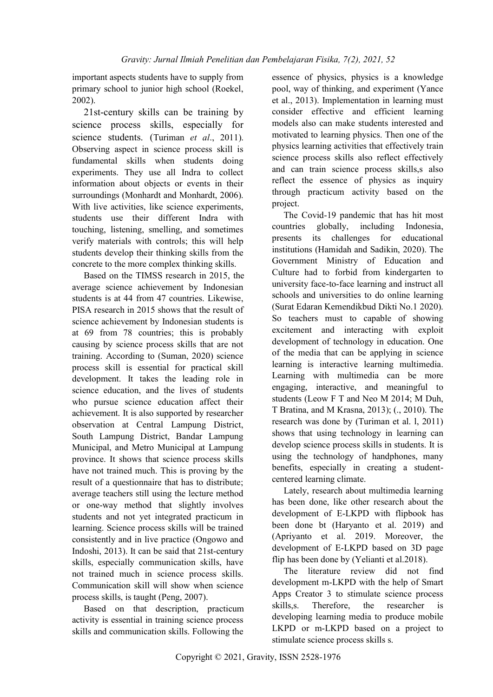important aspects students have to supply from primary school to junior high school (Roekel, 2002).

21st-century skills can be training by science process skills, especially for science students. (Turiman *et al*., 2011). Observing aspect in science process skill is fundamental skills when students doing experiments. They use all Indra to collect information about objects or events in their surroundings (Monhardt and Monhardt, 2006). With live activities, like science experiments, students use their different Indra with touching, listening, smelling, and sometimes verify materials with controls; this will help students develop their thinking skills from the concrete to the more complex thinking skills.

Based on the TIMSS research in 2015, the average science achievement by Indonesian students is at 44 from 47 countries. Likewise, PISA research in 2015 shows that the result of science achievement by Indonesian students is at 69 from 78 countries; this is probably causing by science process skills that are not training. According to (Suman, 2020) science process skill is essential for practical skill development. It takes the leading role in science education, and the lives of students who pursue science education affect their achievement. It is also supported by researcher observation at Central Lampung District, South Lampung District, Bandar Lampung Municipal, and Metro Municipal at Lampung province. It shows that science process skills have not trained much. This is proving by the result of a questionnaire that has to distribute; average teachers still using the lecture method or one-way method that slightly involves students and not yet integrated practicum in learning. Science process skills will be trained consistently and in live practice (Ongowo and Indoshi, 2013). It can be said that 21st-century skills, especially communication skills, have not trained much in science process skills. Communication skill will show when science process skills, is taught (Peng, 2007).

Based on that description, practicum activity is essential in training science process skills and communication skills. Following the

essence of physics, physics is a knowledge pool, way of thinking, and experiment (Yance et al., 2013). Implementation in learning must consider effective and efficient learning models also can make students interested and motivated to learning physics. Then one of the physics learning activities that effectively train science process skills also reflect effectively and can train science process skills,s also reflect the essence of physics as inquiry through practicum activity based on the project.

The Covid-19 pandemic that has hit most countries globally, including Indonesia, presents its challenges for educational institutions (Hamidah and Sadikin, 2020). The Government Ministry of Education and Culture had to forbid from kindergarten to university face-to-face learning and instruct all schools and universities to do online learning (Surat Edaran Kemendikbud Dikti No.1 2020). So teachers must to capable of showing excitement and interacting with exploit development of technology in education. One of the media that can be applying in science learning is interactive learning multimedia. Learning with multimedia can be more engaging, interactive, and meaningful to students (Leow F T and Neo M 2014; M Duh, T Bratina, and M Krasna, 2013); (., 2010). The research was done by (Turiman et al. l, 2011) shows that using technology in learning can develop science process skills in students. It is using the technology of handphones, many benefits, especially in creating a studentcentered learning climate.

Lately, research about multimedia learning has been done, like other research about the development of E-LKPD with flipbook has been done bt (Haryanto et al. 2019) and (Apriyanto et al. 2019. Moreover, the development of E-LKPD based on 3D page flip has been done by (Yelianti et al.2018).

The literature review did not find development m-LKPD with the help of Smart Apps Creator 3 to stimulate science process skills,s. Therefore, the researcher is developing learning media to produce mobile LKPD or m-LKPD based on a project to stimulate science process skills s.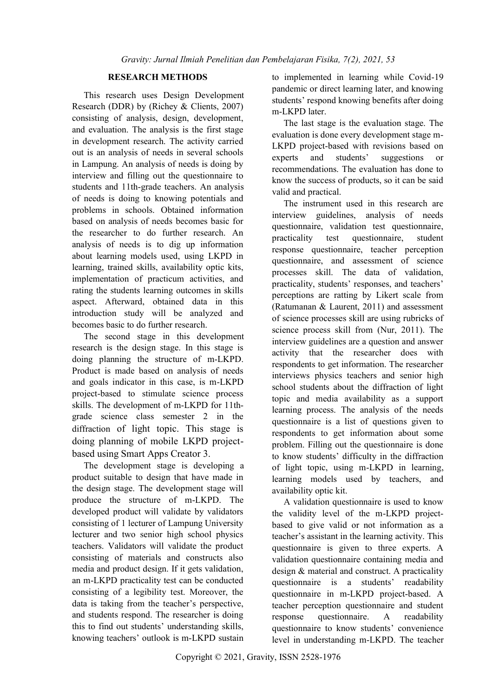# **RESEARCH METHODS**

This research uses Design Development Research (DDR) by (Richey & Clients, 2007) consisting of analysis, design, development, and evaluation. The analysis is the first stage in development research. The activity carried out is an analysis of needs in several schools in Lampung. An analysis of needs is doing by interview and filling out the questionnaire to students and 11th-grade teachers. An analysis of needs is doing to knowing potentials and problems in schools. Obtained information based on analysis of needs becomes basic for the researcher to do further research. An analysis of needs is to dig up information about learning models used, using LKPD in learning, trained skills, availability optic kits, implementation of practicum activities, and rating the students learning outcomes in skills aspect. Afterward, obtained data in this introduction study will be analyzed and becomes basic to do further research.

The second stage in this development research is the design stage. In this stage is doing planning the structure of m-LKPD. Product is made based on analysis of needs and goals indicator in this case, is m-LKPD project-based to stimulate science process skills. The development of m-LKPD for 11thgrade science class semester 2 in the diffraction of light topic. This stage is doing planning of mobile LKPD projectbased using Smart Apps Creator 3.

The development stage is developing a product suitable to design that have made in the design stage. The development stage will produce the structure of m-LKPD. The developed product will validate by validators consisting of 1 lecturer of Lampung University lecturer and two senior high school physics teachers. Validators will validate the product consisting of materials and constructs also media and product design. If it gets validation, an m-LKPD practicality test can be conducted consisting of a legibility test. Moreover, the data is taking from the teacher's perspective, and students respond. The researcher is doing this to find out students' understanding skills, knowing teachers' outlook is m-LKPD sustain

to implemented in learning while Covid-19 pandemic or direct learning later, and knowing students' respond knowing benefits after doing m-LKPD later.

The last stage is the evaluation stage. The evaluation is done every development stage m-LKPD project-based with revisions based on experts and students' suggestions or recommendations. The evaluation has done to know the success of products, so it can be said valid and practical.

The instrument used in this research are interview guidelines, analysis of needs questionnaire, validation test questionnaire, practicality test questionnaire, student response questionnaire, teacher perception questionnaire, and assessment of science processes skill. The data of validation, practicality, students' responses, and teachers' perceptions are ratting by Likert scale from (Ratumanan & Laurent, 2011) and assessment of science processes skill are using rubricks of science process skill from (Nur, 2011). The interview guidelines are a question and answer activity that the researcher does with respondents to get information. The researcher interviews physics teachers and senior high school students about the diffraction of light topic and media availability as a support learning process. The analysis of the needs questionnaire is a list of questions given to respondents to get information about some problem. Filling out the questionnaire is done to know students' difficulty in the diffraction of light topic, using m-LKPD in learning, learning models used by teachers, and availability optic kit.

A validation questionnaire is used to know the validity level of the m-LKPD projectbased to give valid or not information as a teacher's assistant in the learning activity. This questionnaire is given to three experts. A validation questionnaire containing media and design & material and construct. A practicality questionnaire is a students' readability questionnaire in m-LKPD project-based. A teacher perception questionnaire and student response questionnaire. A readability questionnaire to know students' convenience level in understanding m-LKPD. The teacher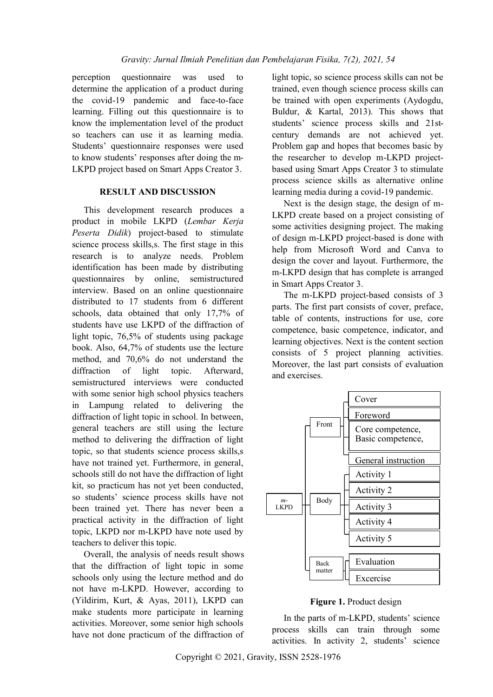perception questionnaire was used to determine the application of a product during the covid-19 pandemic and face-to-face learning. Filling out this questionnaire is to know the implementation level of the product so teachers can use it as learning media. Students' questionnaire responses were used to know students' responses after doing the m-LKPD project based on Smart Apps Creator 3.

## **RESULT AND DISCUSSION**

This development research produces a product in mobile LKPD (*Lembar Kerja Peserta Didik*) project-based to stimulate science process skills,s. The first stage in this research is to analyze needs. Problem identification has been made by distributing questionnaires by online, semistructured interview. Based on an online questionnaire distributed to 17 students from 6 different schools, data obtained that only 17,7% of students have use LKPD of the diffraction of light topic, 76,5% of students using package book. Also, 64,7% of students use the lecture method, and 70,6% do not understand the diffraction of light topic. Afterward, semistructured interviews were conducted with some senior high school physics teachers in Lampung related to delivering the diffraction of light topic in school. In between, general teachers are still using the lecture method to delivering the diffraction of light topic, so that students science process skills,s have not trained yet. Furthermore, in general, schools still do not have the diffraction of light kit, so practicum has not yet been conducted, so students' science process skills have not been trained yet. There has never been a practical activity in the diffraction of light topic, LKPD nor m-LKPD have note used by teachers to deliver this topic.

Overall, the analysis of needs result shows that the diffraction of light topic in some schools only using the lecture method and do not have m-LKPD. However, according to (Yildirim, Kurt, & Ayas, 2011), LKPD can make students more participate in learning activities. Moreover, some senior high schools have not done practicum of the diffraction of

light topic, so science process skills can not be trained, even though science process skills can be trained with open experiments (Aydogdu, Buldur, & Kartal, 2013). This shows that students' science process skills and 21stcentury demands are not achieved yet. Problem gap and hopes that becomes basic by the researcher to develop m-LKPD projectbased using Smart Apps Creator 3 to stimulate process science skills as alternative online learning media during a covid-19 pandemic.

Next is the design stage, the design of m-LKPD create based on a project consisting of some activities designing project. The making of design m-LKPD project-based is done with help from Microsoft Word and Canva to design the cover and layout. Furthermore, the m-LKPD design that has complete is arranged in Smart Apps Creator 3.

The m-LKPD project-based consists of 3 parts. The first part consists of cover, preface, table of contents, instructions for use, core competence, basic competence, indicator, and learning objectives. Next is the content section consists of 5 project planning activities. Moreover, the last part consists of evaluation and exercises.



# **Figure 1.** Product design

In the parts of m-LKPD, students' science process skills can train through some activities. In activity 2, students' science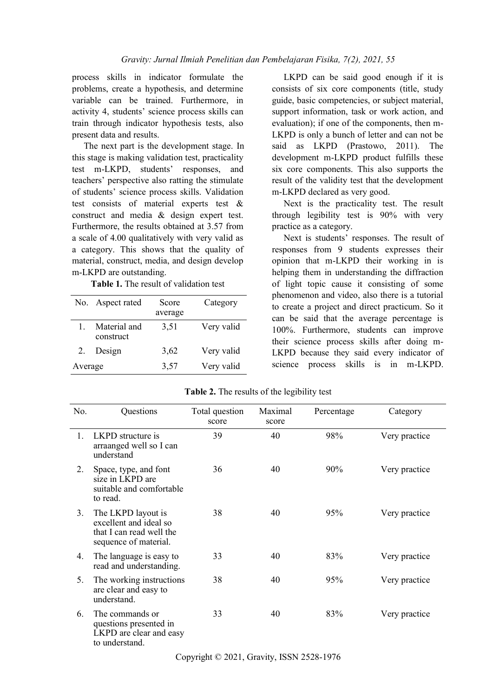process skills in indicator formulate the problems, create a hypothesis, and determine variable can be trained. Furthermore, in activity 4, students' science process skills can train through indicator hypothesis tests, also present data and results.

The next part is the development stage. In this stage is making validation test, practicality test m-LKPD, students' responses, and teachers' perspective also ratting the stimulate of students' science process skills. Validation test consists of material experts test & construct and media & design expert test. Furthermore, the results obtained at 3.57 from a scale of 4.00 qualitatively with very valid as a category. This shows that the quality of material, construct, media, and design develop m-LKPD are outstanding.

**Table 1.** The result of validation test

|         | No. Aspect rated          | Score<br>average | Category   |
|---------|---------------------------|------------------|------------|
| L       | Material and<br>construct | 3,51             | Very valid |
| 2.      | Design                    | 3,62             | Very valid |
| Average |                           | 3,57             | Very valid |

LKPD can be said good enough if it is consists of six core components (title, study guide, basic competencies, or subject material, support information, task or work action, and evaluation); if one of the components, then m-LKPD is only a bunch of letter and can not be said as LKPD (Prastowo, 2011). The development m-LKPD product fulfills these six core components. This also supports the result of the validity test that the development m-LKPD declared as very good.

Next is the practicality test. The result through legibility test is 90% with very practice as a category.

Next is students' responses. The result of responses from 9 students expresses their opinion that m-LKPD their working in is helping them in understanding the diffraction of light topic cause it consisting of some phenomenon and video, also there is a tutorial to create a project and direct practicum. So it can be said that the average percentage is 100%. Furthermore, students can improve their science process skills after doing m-LKPD because they said every indicator of science process skills is in m-LKPD.

| No. | Questions                                                                                         | Total question<br>score | Maximal<br>score | Percentage | Category      |
|-----|---------------------------------------------------------------------------------------------------|-------------------------|------------------|------------|---------------|
| 1.  | LKPD structure is<br>arraanged well so I can<br>understand                                        | 39                      | 40               | 98%        | Very practice |
| 2.  | Space, type, and font<br>size in LKPD are<br>suitable and comfortable<br>to read.                 | 36                      | 40               | 90%        | Very practice |
| 3.  | The LKPD layout is<br>excellent and ideal so<br>that I can read well the<br>sequence of material. | 38                      | 40               | 95%        | Very practice |
| 4.  | The language is easy to<br>read and understanding.                                                | 33                      | 40               | 83%        | Very practice |
| 5.  | The working instructions<br>are clear and easy to<br>understand.                                  | 38                      | 40               | 95%        | Very practice |
| 6.  | The commands or<br>questions presented in<br>LKPD are clear and easy<br>to understand.            | 33                      | 40               | 83%        | Very practice |

**Table 2.** The results of the legibility test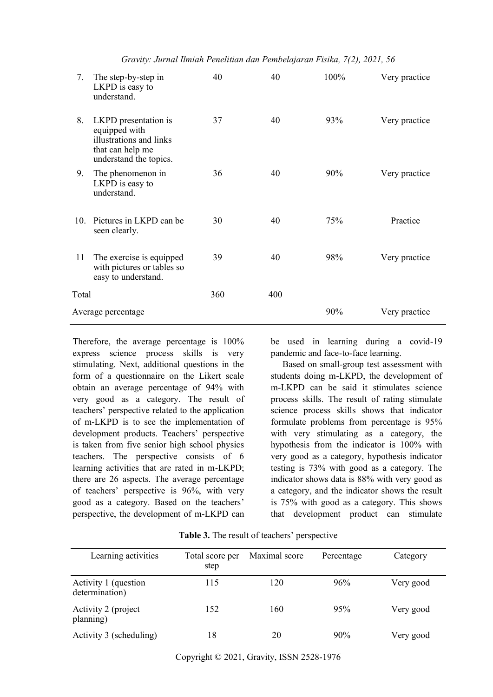*Gravity: Jurnal Ilmiah Penelitian dan Pembelajaran Fisika, 7(2), 2021, 56*

| 7.                 | The step-by-step in<br>LKPD is easy to<br>understand.                                                          | 40  | 40  | 100% | Very practice |
|--------------------|----------------------------------------------------------------------------------------------------------------|-----|-----|------|---------------|
| 8.                 | LKPD presentation is<br>equipped with<br>illustrations and links<br>that can help me<br>understand the topics. | 37  | 40  | 93%  | Very practice |
| 9.                 | The phenomenon in<br>LKPD is easy to<br>understand.                                                            | 36  | 40  | 90%  | Very practice |
| 10.                | Pictures in LKPD can be<br>seen clearly.                                                                       | 30  | 40  | 75%  | Practice      |
| 11                 | The exercise is equipped<br>with pictures or tables so<br>easy to understand.                                  | 39  | 40  | 98%  | Very practice |
| Total              |                                                                                                                | 360 | 400 |      |               |
| Average percentage |                                                                                                                |     |     | 90%  | Very practice |

Therefore, the average percentage is 100% express science process skills is very stimulating. Next, additional questions in the form of a questionnaire on the Likert scale obtain an average percentage of 94% with very good as a category. The result of teachers' perspective related to the application of m-LKPD is to see the implementation of development products. Teachers' perspective is taken from five senior high school physics teachers. The perspective consists of 6 learning activities that are rated in m-LKPD; there are 26 aspects. The average percentage of teachers' perspective is 96%, with very good as a category. Based on the teachers' perspective, the development of m-LKPD can

be used in learning during a covid-19 pandemic and face-to-face learning.

Based on small-group test assessment with students doing m-LKPD, the development of m-LKPD can be said it stimulates science process skills. The result of rating stimulate science process skills shows that indicator formulate problems from percentage is 95% with very stimulating as a category, the hypothesis from the indicator is 100% with very good as a category, hypothesis indicator testing is 73% with good as a category. The indicator shows data is 88% with very good as a category, and the indicator shows the result is 75% with good as a category. This shows that development product can stimulate

|  |  |  |  | Table 3. The result of teachers' perspective |  |  |
|--|--|--|--|----------------------------------------------|--|--|
|--|--|--|--|----------------------------------------------|--|--|

| Learning activities                    | Total score per<br>step | Maximal score | Percentage | Category  |
|----------------------------------------|-------------------------|---------------|------------|-----------|
| Activity 1 (question<br>determination) | 115                     | 120           | 96%        | Very good |
| Activity 2 (project<br>planning)       | 152                     | 160           | 95%        | Very good |
| Activity 3 (scheduling)                | 18                      | 20            | 90%        | Very good |

Copyright © 2021, Gravity, ISSN 2528-1976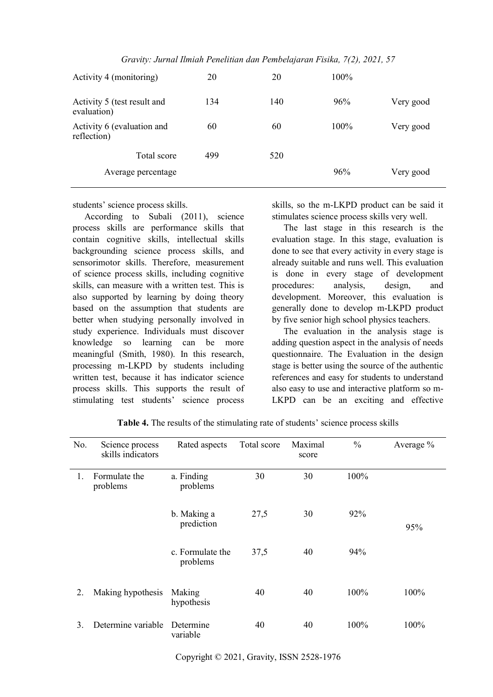| Gravity: Jurnal Ilmiah Penelitian dan Pembelajaran Fisika, 7(2), 2021, 57 |
|---------------------------------------------------------------------------|
|---------------------------------------------------------------------------|

| Activity 4 (monitoring)                    | 20  | 20  | $100\%$ |           |
|--------------------------------------------|-----|-----|---------|-----------|
| Activity 5 (test result and<br>evaluation) | 134 | 140 | 96%     | Very good |
| Activity 6 (evaluation and<br>reflection)  | 60  | 60  | 100%    | Very good |
| Total score                                | 499 | 520 |         |           |
| Average percentage                         |     |     | 96%     | Very good |

students' science process skills.

According to Subali (2011), science process skills are performance skills that contain cognitive skills, intellectual skills backgrounding science process skills, and sensorimotor skills. Therefore, measurement of science process skills, including cognitive skills, can measure with a written test. This is also supported by learning by doing theory based on the assumption that students are better when studying personally involved in study experience. Individuals must discover knowledge so learning can be more meaningful (Smith, 1980). In this research, processing m-LKPD by students including written test, because it has indicator science process skills. This supports the result of stimulating test students' science process

skills, so the m-LKPD product can be said it stimulates science process skills very well.

The last stage in this research is the evaluation stage. In this stage, evaluation is done to see that every activity in every stage is already suitable and runs well. This evaluation is done in every stage of development procedures: analysis, design, and development. Moreover, this evaluation is generally done to develop m-LKPD product by five senior high school physics teachers.

The evaluation in the analysis stage is adding question aspect in the analysis of needs questionnaire. The Evaluation in the design stage is better using the source of the authentic references and easy for students to understand also easy to use and interactive platform so m-LKPD can be an exciting and effective

| No. | Science process<br>skills indicators | Rated aspects                | Total score | Maximal<br>score | $\frac{0}{0}$ | Average % |
|-----|--------------------------------------|------------------------------|-------------|------------------|---------------|-----------|
| 1.  | Formulate the<br>problems            | a. Finding<br>problems       | 30          | 30               | 100%          |           |
|     |                                      | b. Making a<br>prediction    | 27,5        | 30               | 92%           | 95%       |
|     |                                      | c. Formulate the<br>problems | 37,5        | 40               | 94%           |           |
| 2.  | Making hypothesis                    | Making<br>hypothesis         | 40          | 40               | 100%          | 100%      |
| 3.  | Determine variable                   | Determine<br>variable        | 40          | 40               | 100%          | 100%      |

**Table 4.** The results of the stimulating rate of students' science process skills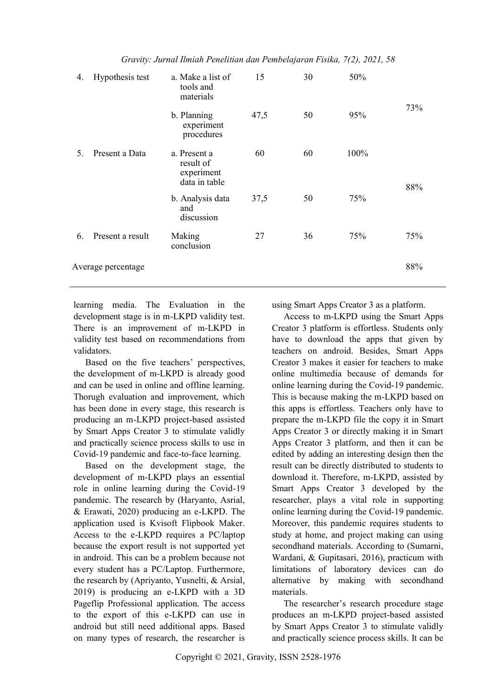| 4. | Hypothesis test    | a. Make a list of<br>tools and<br>materials              | 15   | 30 | 50%  |     |
|----|--------------------|----------------------------------------------------------|------|----|------|-----|
|    |                    | b. Planning<br>experiment<br>procedures                  | 47,5 | 50 | 95%  | 73% |
| 5. | Present a Data     | a. Present a<br>result of<br>experiment<br>data in table | 60   | 60 | 100% | 88% |
|    |                    | b. Analysis data<br>and<br>discussion                    | 37,5 | 50 | 75%  |     |
| 6. | Present a result   | Making<br>conclusion                                     | 27   | 36 | 75%  | 75% |
|    | Average percentage |                                                          |      |    |      | 88% |

*Gravity: Jurnal Ilmiah Penelitian dan Pembelajaran Fisika, 7(2), 2021, 58*

learning media. The Evaluation in the development stage is in m-LKPD validity test. There is an improvement of m-LKPD in validity test based on recommendations from validators.

Based on the five teachers' perspectives, the development of m-LKPD is already good and can be used in online and offline learning. Thorugh evaluation and improvement, which has been done in every stage, this research is producing an m-LKPD project-based assisted by Smart Apps Creator 3 to stimulate validly and practically science process skills to use in Covid-19 pandemic and face-to-face learning.

Based on the development stage, the development of m-LKPD plays an essential role in online learning during the Covid-19 pandemic. The research by (Haryanto, Asrial, & Erawati, 2020) producing an e-LKPD. The application used is Kvisoft Flipbook Maker. Access to the e-LKPD requires a PC/laptop because the export result is not supported yet in android. This can be a problem because not every student has a PC/Laptop. Furthermore, the research by (Apriyanto, Yusnelti, & Arsial, 2019) is producing an e-LKPD with a 3D Pageflip Professional application. The access to the export of this e-LKPD can use in android but still need additional apps. Based on many types of research, the researcher is using Smart Apps Creator 3 as a platform.

Access to m-LKPD using the Smart Apps Creator 3 platform is effortless. Students only have to download the apps that given by teachers on android. Besides, Smart Apps Creator 3 makes it easier for teachers to make online multimedia because of demands for online learning during the Covid-19 pandemic. This is because making the m-LKPD based on this apps is effortless. Teachers only have to prepare the m-LKPD file the copy it in Smart Apps Creator 3 or directly making it in Smart Apps Creator 3 platform, and then it can be edited by adding an interesting design then the result can be directly distributed to students to download it. Therefore, m-LKPD, assisted by Smart Apps Creator 3 developed by the researcher, plays a vital role in supporting online learning during the Covid-19 pandemic. Moreover, this pandemic requires students to study at home, and project making can using secondhand materials. According to (Sumarni, Wardani, & Gupitasari, 2016), practicum with limitations of laboratory devices can do alternative by making with secondhand materials.

The researcher's research procedure stage produces an m-LKPD project-based assisted by Smart Apps Creator 3 to stimulate validly and practically science process skills. It can be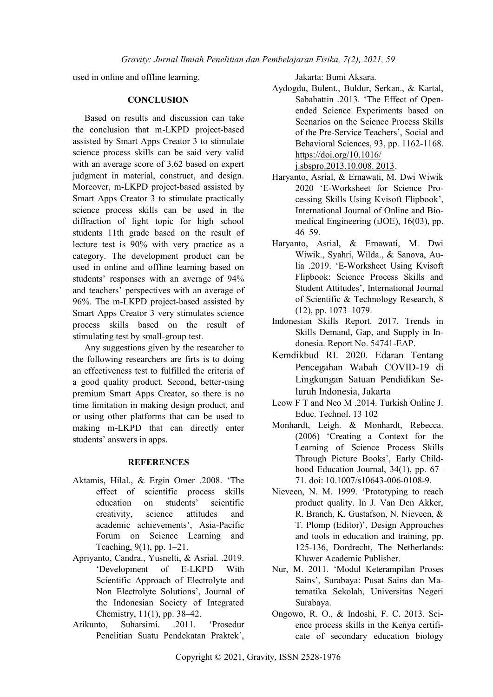used in online and offline learning.

## **CONCLUSION**

Based on results and discussion can take the conclusion that m-LKPD project-based assisted by Smart Apps Creator 3 to stimulate science process skills can be said very valid with an average score of 3,62 based on expert judgment in material, construct, and design. Moreover, m-LKPD project-based assisted by Smart Apps Creator 3 to stimulate practically science process skills can be used in the diffraction of light topic for high school students 11th grade based on the result of lecture test is 90% with very practice as a category. The development product can be used in online and offline learning based on students' responses with an average of 94% and teachers' perspectives with an average of 96%. The m-LKPD project-based assisted by Smart Apps Creator 3 very stimulates science process skills based on the result of stimulating test by small-group test.

Any suggestions given by the researcher to the following researchers are firts is to doing an effectiveness test to fulfilled the criteria of a good quality product. Second, better-using premium Smart Apps Creator, so there is no time limitation in making design product, and or using other platforms that can be used to making m-LKPD that can directly enter students' answers in apps.

## **REFERENCES**

- Aktamis, Hilal., & Ergin Omer .2008. 'The effect of scientific process skills education on students' scientific creativity, science attitudes and academic achievements', Asia-Pacific Forum on Science Learning and Teaching, 9(1), pp. 1–21.
- Apriyanto, Candra., Yusnelti, & Asrial. .2019. 'Development of E-LKPD With Scientific Approach of Electrolyte and Non Electrolyte Solutions', Journal of the Indonesian Society of Integrated Chemistry, 11(1), pp. 38–42.
- Arikunto, Suharsimi. .2011. 'Prosedur Penelitian Suatu Pendekatan Praktek',

Jakarta: Bumi Aksara.

Aydogdu, Bulent., Buldur, Serkan., & Kartal, Sabahattin .2013. 'The Effect of Openended Science Experiments based on Scenarios on the Science Process Skills of the Pre-Service Teachers', Social and Behavioral Sciences, 93, pp. 1162-1168. [https://doi.org/10.1016/](https://doi.org/10.1016/j.sbspro.2013.10.008.%202013)

[j.sbspro.2013.10.008. 2013.](https://doi.org/10.1016/j.sbspro.2013.10.008.%202013)

- Haryanto, Asrial, & Ernawati, M. Dwi Wiwik 2020 'E-Worksheet for Science Processing Skills Using Kvisoft Flipbook', International Journal of Online and Biomedical Engineering (iJOE), 16(03), pp. 46–59.
- Haryanto, Asrial, & Ernawati, M. Dwi Wiwik., Syahri, Wilda., & Sanova, Aulia .2019. 'E-Worksheet Using Kvisoft Flipbook: Science Process Skills and Student Attitudes', International Journal of Scientific & Technology Research, 8 (12), pp. 1073–1079.
- Indonesian Skills Report. 2017. Trends in Skills Demand, Gap, and Supply in Indonesia. Report No. 54741-EAP.
- Kemdikbud RI. 2020. Edaran Tentang Pencegahan Wabah COVID-19 di Lingkungan Satuan Pendidikan Seluruh Indonesia, Jakarta
- Leow F T and Neo M .2014. Turkish Online J. Educ. Technol. 13 102
- Monhardt, Leigh. & Monhardt, Rebecca. (2006) 'Creating a Context for the Learning of Science Process Skills Through Picture Books', Early Childhood Education Journal, 34(1), pp. 67– 71. doi: 10.1007/s10643-006-0108-9.
- Nieveen, N. M. 1999. 'Prototyping to reach product quality. In J. Van Den Akker, R. Branch, K. Gustafson, N. Nieveen, & T. Plomp (Editor)', Design Approuches and tools in education and training, pp. 125-136, Dordrecht, The Netherlands: Kluwer Academic Publisher.
- Nur, M. 2011. 'Modul Keterampilan Proses Sains', Surabaya: Pusat Sains dan Matematika Sekolah, Universitas Negeri Surabaya.
- Ongowo, R. O., & Indoshi, F. C. 2013. Science process skills in the Kenya certificate of secondary education biology